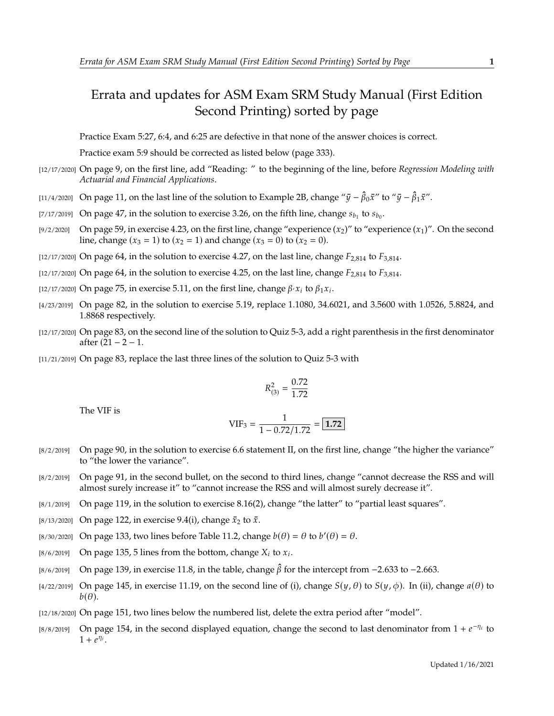## Errata and updates for ASM Exam SRM Study Manual (First Edition Second Printing) sorted by page

Practice Exam 5:27, 6:4, and 6:25 are defective in that none of the answer choices is correct.

Practice exam 5:9 should be corrected as listed below (page 333).

- [12/17/2020] On page 9, on the first line, add "Reading: " to the beginning of the line, before *Regression Modeling with Actuarial and Financial Applications*.
- [11/4/2020] On page 11, on the last line of the solution to Example 2B, change " $\bar{y} \hat{\beta}_0 \bar{x}$ " to " $\bar{y} \hat{\beta}_1 \bar{x}$ ".
- [7/17/2019] On page 47, in the solution to exercise 3.26, on the fifth line, change  $s_{b_1}$  to  $s_{b_0}$ .
- [9/2/2020] On page 59, in exercise 4.23, on the first line, change "experience  $(x_2)$ " to "experience  $(x_1)$ ". On the second line, change  $(x_3 = 1)$  to  $(x_2 = 1)$  and change  $(x_3 = 0)$  to  $(x_2 = 0)$ .
- [12/17/2020] On page 64, in the solution to exercise 4.27, on the last line, change  $F_{2,814}$  to  $F_{3,814}$ .
- $[12/17/2020]$  On page 64, in the solution to exercise 4.25, on the last line, change  $F_{2,814}$  to  $F_{3,814}$ .
- [12/17/2020] On page 75, in exercise 5.11, on the first line, change  $\beta \cdot x_i$  to  $\beta_1 x_i$ .
- [4/23/2019] On page 82, in the solution to exercise 5.19, replace 1.1080, 34.6021, and 3.5600 with 1.0526, 5.8824, and 1.8868 respectively.
- [12/17/2020] On page 83, on the second line of the solution to Quiz 5-3, add a right parenthesis in the first denominator after  $(21 - 2 - 1)$ .
- [11/21/2019] On page 83, replace the last three lines of the solution to Quiz 5-3 with

$$
R_{(3)}^2 = \frac{0.72}{1.72}
$$

The VIF is

$$
VIF_3 = \frac{1}{1 - 0.72/1.72} = \boxed{1.72}
$$

- [8/2/2019] On page 90, in the solution to exercise 6.6 statement II, on the first line, change "the higher the variance" to "the lower the variance".
- [8/2/2019] On page 91, in the second bullet, on the second to third lines, change "cannot decrease the RSS and will almost surely increase it" to "cannot increase the RSS and will almost surely decrease it".
- [8/1/2019] On page 119, in the solution to exercise 8.16(2), change "the latter" to "partial least squares".
- [8/13/2020] On page 122, in exercise 9.4(i), change  $\bar{x}_2$  to  $\bar{x}$ .
- [8/30/2020] On page 133, two lines before Table 11.2, change  $b(\theta) = \theta$  to  $b'(\theta) = \theta$ .
- [8/6/2019] On page 135, 5 lines from the bottom, change  $X_i$  to  $x_i$ .
- [8/6/2019] On page 139, in exercise 11.8, in the table, change  $\hat{\beta}$  for the intercept from −2.633 to −2.663.
- [4/22/2019] On page 145, in exercise 11.19, on the second line of (i), change  $S(y, \theta)$  to  $S(y, \phi)$ . In (ii), change  $a(\theta)$  to  $b(\theta)$ .
- [12/18/2020] On page 151, two lines below the numbered list, delete the extra period after "model".
- [8/8/2019] On page 154, in the second displayed equation, change the second to last denominator from  $1 + e^{-\eta_i}$  to  $1 + e^{\eta_i}$  $1 + \overline{e^{\eta_i}}$ .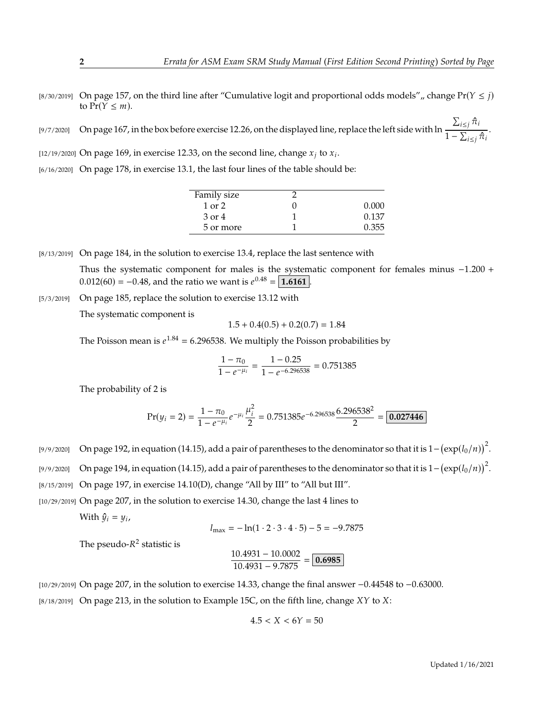- [8/30/2019] On page 157, on the third line after "Cumulative logit and proportional odds models", change  $Pr(Y \leq j)$ to  $Pr(Y \leq m)$ .
- [9/7/2020] On page 167, in the box before exercise 12.26, on the displayed line, replace the left side with ln  $\frac{\sum_{i \leq j} \hat{\pi}_i}{\sigma}$  $\frac{1}{1-\sum_{i\leq j}\hat{\pi}_i}$ .
- [12/19/2020] On page 169, in exercise 12.33, on the second line, change  $x_j$  to  $x_i$ .

<sup>[6/16/2020]</sup> On page 178, in exercise 13.1, the last four lines of the table should be:

| Family size |       |
|-------------|-------|
| $1$ or $2$  | 0.000 |
| 3 or 4      | 0.137 |
| 5 or more   | 0.355 |
|             |       |

[8/13/2019] On page 184, in the solution to exercise 13.4, replace the last sentence with Thus the systematic component for males is the systematic component for females minus <sup>−</sup>1.<sup>200</sup> <sup>+</sup>  $0.012(60) = -0.48$ , and the ratio we want is  $e^{0.48} = \boxed{1.6161}$ .

[5/3/2019] On page 185, replace the solution to exercise 13.12 with

The systematic component is

$$
1.5 + 0.4(0.5) + 0.2(0.7) = 1.84
$$

The Poisson mean is  $e^{1.84} = 6.296538$ . We multiply the Poisson probabilities by

$$
\frac{1 - \pi_0}{1 - e^{-\mu_i}} = \frac{1 - 0.25}{1 - e^{-6.296538}} = 0.751385
$$

The probability of 2 is

$$
Pr(y_i = 2) = \frac{1 - \pi_0}{1 - e^{-\mu_i}} e^{-\mu_i} \frac{\mu_i^2}{2} = 0.751385 e^{-6.296538} \frac{6.296538^2}{2} = 0.027446
$$

[9/9/2020] On page 192, in equation (14.15), add a pair of parentheses to the denominator so that it is  $1-(\exp(l_0/n))^2$ .

[9/9/2020] On page 194, in equation (14.15), add a pair of parentheses to the denominator so that it is  $1-(\exp(l_0/n))^2$ .

 $[8/15/2019]$  On page 197, in exercise 14.10(D), change "All by III" to "All but III".

[10/29/2019] On page 207, in the solution to exercise 14.30, change the last 4 lines to

With  $\hat{y}_i = y_i$ ,

$$
l_{\text{max}} = -\ln(1 \cdot 2 \cdot 3 \cdot 4 \cdot 5) - 5 = -9.7875
$$

The pseudo- $R^2$  statistic is

$$
\frac{10.4931 - 10.0002}{10.4931 - 9.7875} = \boxed{0.6985}
$$

[10/29/2019] On page 207, in the solution to exercise 14.33, change the final answer <sup>−</sup>0.<sup>44548</sup> to <sup>−</sup>0.63000.  $[8/18/2019]$  On page 213, in the solution to Example 15C, on the fifth line, change  $XY$  to  $X$ :

$$
4.5 < X < 6Y = 50
$$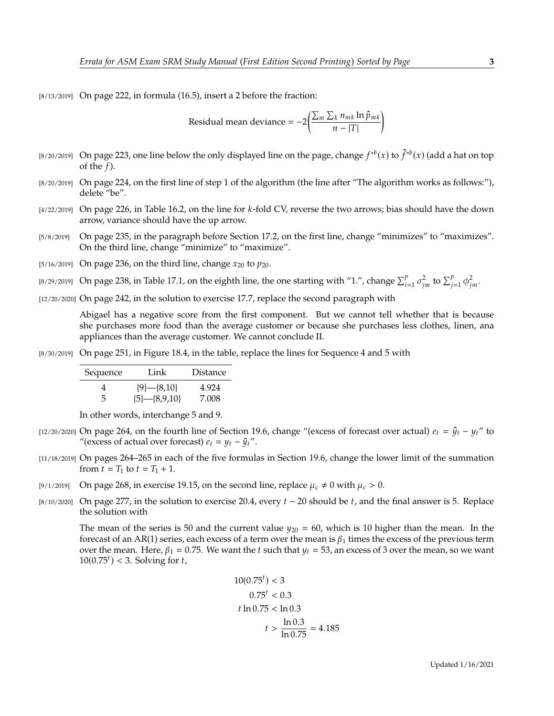[8/13/2019] On page 222, in formula (16.5), insert a 2 before the fraction:

Residual mean deviance = 
$$
-2\left(\frac{\sum_m \sum_k n_{mk} \ln \hat{p}_{mk}}{n - |T|}\right)
$$

- [8/20/2019] On page 223, one line below the only displayed line on the page, change  $f^{*b}(x)$  to  $\hat{f}^{*b}(x)$  (add a hat on top of the f) of the  $f$ ).
- [8/20/2019] On page 224, on the first line of step 1 of the algorithm (the line after "The algorithm works as follows:"), delete "be".
- $[4/22/2019]$  On page 226, in Table 16.2, on the line for k-fold CV, reverse the two arrows; bias should have the down arrow, variance should have the up arrow.
- [5/8/2019] On page 235, in the paragraph before Section 17.2, on the first line, change "minimizes" to "maximizes". On the third line, change "minimize" to "maximize".
- [5/16/2019] On page 236, on the third line, change  $x_{20}$  to  $p_{20}$ .
- [8/29/2019] On page 238, in Table 17.1, on the eighth line, the one starting with "1.", change  $\sum_{i=1}^{p} \sigma_{jm}^2$  to  $\sum_{j=1}^{p} \phi_{jm}^2$ .

[12/20/2020] On page 242, in the solution to exercise 17.7, replace the second paragraph with

Abigael has a negative score from the first component. But we cannot tell whether that is because she purchases more food than the average customer or because she purchases less clothes, linen, ana appliances than the average customer. We cannot conclude II.

[8/30/2019] On page 251, in Figure 18.4, in the table, replace the lines for Sequence 4 and 5 with

| Sequence | Link             | <b>Distance</b> |
|----------|------------------|-----------------|
|          | ${9}$ - ${8,10}$ | 4.924           |
|          | ${5}$ -{8,9,10}  | 7.008           |

In other words, interchange 5 and 9.

- [12/20/2020] On page 264, on the fourth line of Section 19.6, change "(excess of forecast over actual)  $e_t = \hat{y}_t y_t$ " to "(excess of actual over forecast)  $e_t = y_t - \hat{y}_t$ ".
- [11/18/2019] On pages 264–265 in each of the five formulas in Section 19.6, change the lower limit of the summation from  $t = T_1$  to  $t = T_1 + 1$ .
- [9/1/2019] On page 268, in exercise 19.15, on the second line, replace  $\mu_c \neq 0$  with  $\mu_c > 0$ .
- [8/10/2020] On page 277, in the solution to exercise 20.4, every  $t-20$  should be  $t$ , and the final answer is 5. Replace the solution with

The mean of the series is 50 and the current value  $y_{20} = 60$ , which is 10 higher than the mean. In the forecast of an AR(1) series, each excess of a term over the mean is  $\beta_1$  times the excess of the previous term over the mean. Here,  $\beta_1 = 0.75$ . We want the t such that  $y_t = 53$ , an excess of 3 over the mean, so we want  $10(0.75<sup>t</sup>) < 3$ . Solving for  $t$ ,

$$
10(0.75^{t}) < 3
$$
  
\n
$$
0.75^{t} < 0.3
$$
  
\n
$$
t \ln 0.75 < \ln 0.3
$$
  
\n
$$
t > \frac{\ln 0.3}{\ln 0.75} = 4.185
$$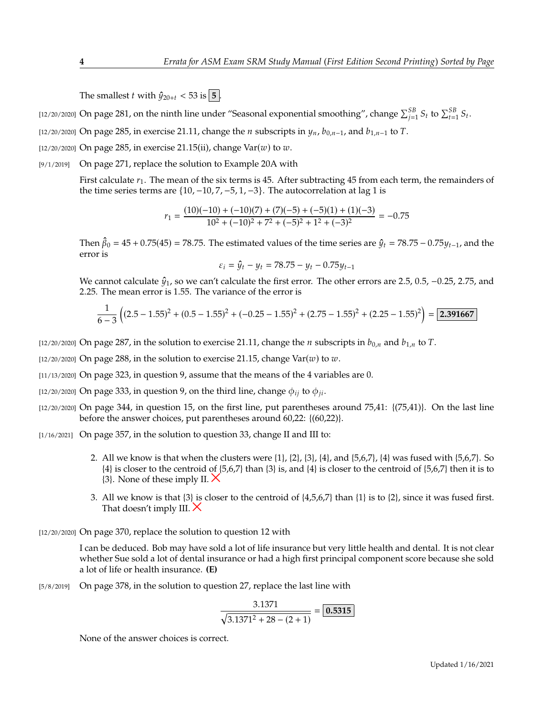The smallest *t* with  $\hat{y}_{20+t} < 53$  is  $\boxed{5}$ .

[12/20/2020] On page 281, on the ninth line under "Seasonal exponential smoothing", change  $\sum_{j=1}^{5B} S_t$  to  $\sum_{t=1}^{5B} S_t$ .

[12/20/2020] On page 285, in exercise 21.11, change the  $n$  subscripts in  $y_n$ ,  $b_{0,n-1}$ , and  $b_{1,n-1}$  to  $T$ .

[12/20/2020] On page 285, in exercise 21.15(ii), change  $Var(w)$  to  $w$ .

[9/1/2019] On page 271, replace the solution to Example 20A with

First calculate  $r_1$ . The mean of the six terms is 45. After subtracting 45 from each term, the remainders of the time series terms are  $\{10, -10, 7, -5, 1, -3\}$ . The autocorrelation at lag 1 is

$$
r_1 = \frac{(10)(-10) + (-10)(7) + (7)(-5) + (-5)(1) + (1)(-3)}{10^2 + (-10)^2 + 7^2 + (-5)^2 + 1^2 + (-3)^2} = -0.75
$$

Then  $\hat{\beta}_0 = 45 + 0.75(45) = 78.75$ . The estimated values of the time series are  $\hat{y}_t = 78.75 - 0.75y_{t-1}$ , and the error is error is

$$
\varepsilon_i = \hat{y}_t - y_t = 78.75 - y_t - 0.75y_{t-1}
$$

We cannot calculate  $\hat{\psi}_1$ , so we can't calculate the first error. The other errors are 2.5, 0.5, -0.25, 2.75, and <sup>2</sup>.25. The mean error is 1.55. The variance of the error is

$$
\frac{1}{6-3}\left((2.5-1.55)^2 + (0.5-1.55)^2 + (-0.25-1.55)^2 + (2.75-1.55)^2 + (2.25-1.55)^2\right) = \boxed{2.391667}
$$

- [12/20/2020] On page 287, in the solution to exercise 21.11, change the *n* subscripts in  $b_{0,n}$  and  $b_{1,n}$  to *T*.
- [12/20/2020] On page 288, in the solution to exercise 21.15, change  $Var(w)$  to  $w$ .
- [11/13/2020] On page 323, in question 9, assume that the means of the 4 variables are 0.
- [12/20/2020] On page 333, in question 9, on the third line, change  $\phi_{ii}$  to  $\phi_{ii}$ .
- $[12/20/2020]$  On page 344, in question 15, on the first line, put parentheses around 75,41:  $\{(75,41)\}\$ . On the last line before the answer choices, put parentheses around 60,22: {(60,22)}.
- [1/16/2021] On page 357, in the solution to question 33, change II and III to:
	- 2. All we know is that when the clusters were  $\{1\}$ ,  $\{2\}$ ,  $\{3\}$ ,  $\{4\}$ , and  $\{5,6,7\}$ ,  $\{4\}$  was fused with  $\{5,6,7\}$ . So {4} is closer to the centroid of {5,6,7} than {3} is, and {4} is closer to the centroid of {5,6,7} then it is to  $\{3\}$ . None of these imply II.  $\times$
	- 3. All we know is that  $\{3\}$  is closer to the centroid of  $\{4,5,6,7\}$  than  $\{1\}$  is to  $\{2\}$ , since it was fused first. That doesn't imply III.  $\times$

[12/20/2020] On page 370, replace the solution to question 12 with

I can be deduced. Bob may have sold a lot of life insurance but very little health and dental. It is not clear whether Sue sold a lot of dental insurance or had a high first principal component score because she sold a lot of life or health insurance. **(E)**

[5/8/2019] On page 378, in the solution to question 27, replace the last line with

$$
\frac{3.1371}{\sqrt{3.1371^2 + 28 - (2 + 1)}} = \boxed{0.5315}
$$

None of the answer choices is correct.